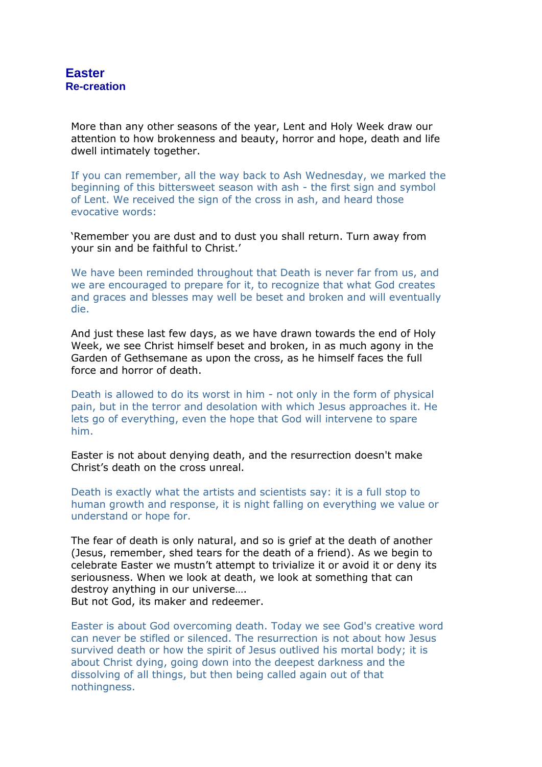More than any other seasons of the year, Lent and Holy Week draw our attention to how brokenness and beauty, horror and hope, death and life dwell intimately together.

If you can remember, all the way back to Ash Wednesday, we marked the beginning of this bittersweet season with ash - the first sign and symbol of Lent. We received the sign of the cross in ash, and heard those evocative words:

'Remember you are dust and to dust you shall return. Turn away from your sin and be faithful to Christ.'

We have been reminded throughout that Death is never far from us, and we are encouraged to prepare for it, to recognize that what God creates and graces and blesses may well be beset and broken and will eventually die.

And just these last few days, as we have drawn towards the end of Holy Week, we see Christ himself beset and broken, in as much agony in the Garden of Gethsemane as upon the cross, as he himself faces the full force and horror of death.

Death is allowed to do its worst in him - not only in the form of physical pain, but in the terror and desolation with which Jesus approaches it. He lets go of everything, even the hope that God will intervene to spare him.

Easter is not about denying death, and the resurrection doesn't make Christ's death on the cross unreal.

Death is exactly what the artists and scientists say: it is a full stop to human growth and response, it is night falling on everything we value or understand or hope for.

The fear of death is only natural, and so is grief at the death of another (Jesus, remember, shed tears for the death of a friend). As we begin to celebrate Easter we mustn't attempt to trivialize it or avoid it or deny its seriousness. When we look at death, we look at something that can destroy anything in our universe…. But not God, its maker and redeemer.

Easter is about God overcoming death. Today we see God's creative word can never be stifled or silenced. The resurrection is not about how Jesus survived death or how the spirit of Jesus outlived his mortal body; it is about Christ dying, going down into the deepest darkness and the dissolving of all things, but then being called again out of that nothingness.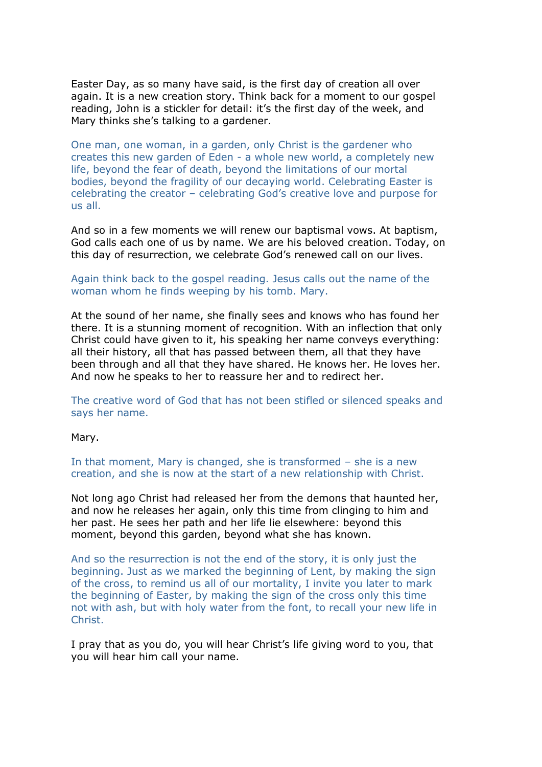Easter Day, as so many have said, is the first day of creation all over again. It is a new creation story. Think back for a moment to our gospel reading, John is a stickler for detail: it's the first day of the week, and Mary thinks she's talking to a gardener.

One man, one woman, in a garden, only Christ is the gardener who creates this new garden of Eden - a whole new world, a completely new life, beyond the fear of death, beyond the limitations of our mortal bodies, beyond the fragility of our decaying world. Celebrating Easter is celebrating the creator – celebrating God's creative love and purpose for us all.

And so in a few moments we will renew our baptismal vows. At baptism, God calls each one of us by name. We are his beloved creation. Today, on this day of resurrection, we celebrate God's renewed call on our lives.

## Again think back to the gospel reading. Jesus calls out the name of the woman whom he finds weeping by his tomb. Mary.

At the sound of her name, she finally sees and knows who has found her there. It is a stunning moment of recognition. With an inflection that only Christ could have given to it, his speaking her name conveys everything: all their history, all that has passed between them, all that they have been through and all that they have shared. He knows her. He loves her. And now he speaks to her to reassure her and to redirect her.

The creative word of God that has not been stifled or silenced speaks and says her name.

## Mary.

In that moment, Mary is changed, she is transformed – she is a new creation, and she is now at the start of a new relationship with Christ.

Not long ago Christ had released her from the demons that haunted her, and now he releases her again, only this time from clinging to him and her past. He sees her path and her life lie elsewhere: beyond this moment, beyond this garden, beyond what she has known.

And so the resurrection is not the end of the story, it is only just the beginning. Just as we marked the beginning of Lent, by making the sign of the cross, to remind us all of our mortality, I invite you later to mark the beginning of Easter, by making the sign of the cross only this time not with ash, but with holy water from the font, to recall your new life in Christ.

I pray that as you do, you will hear Christ's life giving word to you, that you will hear him call your name.